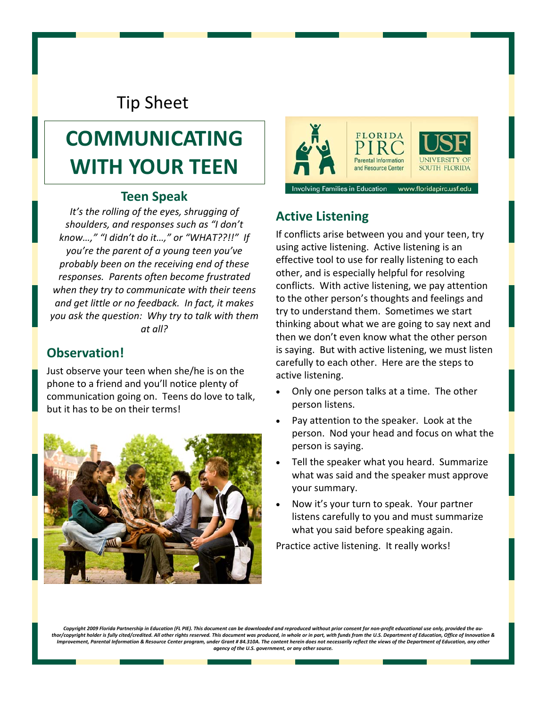# Tip Sheet

# **COMMUNICATING WITH YOUR TEEN**

#### **Teen Speak**

*It's the rolling of the eyes, shrugging of shoulders, and responses such as "I don't know…," "I didn't do it…," or "WHAT??!!" If you're the parent of a young teen you've probably been on the receiving end of these responses. Parents often become frustrated when they try to communicate with their teens and get little or no feedback. In fact, it makes you ask the question: Why try to talk with them at all?*

#### **Observation!**

Just observe your teen when she/he is on the phone to a friend and you'll notice plenty of communication going on. Teens do love to talk, but it has to be on their terms!





#### **Active Listening**

If conflicts arise between you and your teen, try using active listening. Active listening is an effective tool to use for really listening to each other, and is especially helpful for resolving conflicts. With active listening, we pay attention to the other person's thoughts and feelings and try to understand them. Sometimes we start thinking about what we are going to say next and then we don't even know what the other person is saying. But with active listening, we must listen carefully to each other. Here are the steps to active listening.

- Only one person talks at a time. The other person listens.
- Pay attention to the speaker. Look at the person. Nod your head and focus on what the person is saying.
- Tell the speaker what you heard. Summarize what was said and the speaker must approve your summary.
- Now it's your turn to speak. Your partner listens carefully to you and must summarize what you said before speaking again.

Practice active listening. It really works!

Copyright 2009 Florida Partnership in Education (FL PIE). This document can be downloaded and reproduced without prior consent for non-profit educational use only, provided the au thor/copyright holder is fully cited/credited. All other rights reserved. This document was produced, in whole or in part, with funds from the U.S. Department of Education, Office of Innovation & Improvement, Parental Information & Resource Center program, under Grant # 84.310A. The content herein does not necessarily reflect the views of the Department of Education, any other *agency of the U.S. government, or any other source.*